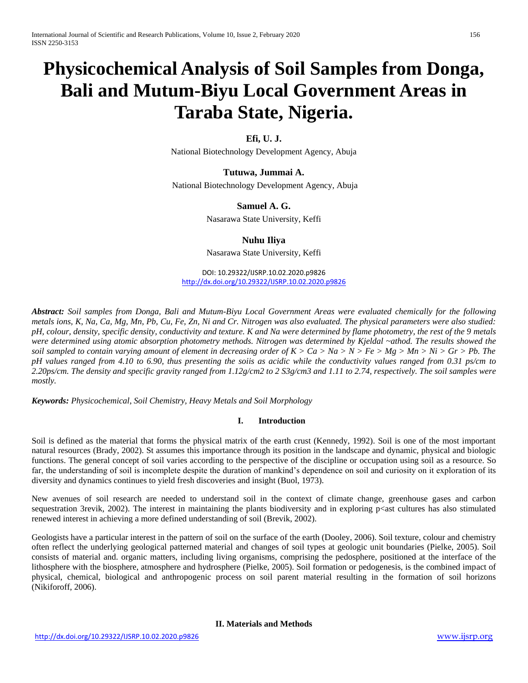# **Physicochemical Analysis of Soil Samples from Donga, Bali and Mutum-Biyu Local Government Areas in Taraba State, Nigeria.**

# **Efi, U. J.**

National Biotechnology Development Agency, Abuja

**Tutuwa, Jummai A.** National Biotechnology Development Agency, Abuja

# **Samuel A. G.**

Nasarawa State University, Keffi

## **Nuhu Iliya**

Nasarawa State University, Keffi

DOI: 10.29322/IJSRP.10.02.2020.p9826 <http://dx.doi.org/10.29322/IJSRP.10.02.2020.p9826>

*Abstract: Soil samples from Donga, Bali and Mutum-Biyu Local Government Areas were evaluated chemically for the following metals ions, K, Na, Ca, Mg, Mn, Pb, Cu, Fe, Zn, Ni and Cr. Nitrogen was also evaluated. The physical parameters were also studied: pH, colour, density, specific density, conductivity and texture. K and Na were determined by flame photometry, the rest of the 9 metals were determined using atomic absorption photometry methods. Nitrogen was determined by Kjeldal ~athod. The results showed the soil sampled to contain varying amount of element in decreasing order of*  $K > Ca > Na > N > Fe > Mg > Mn > Ni > Gr > Pb$ *. The pH values ranged from 4.10 to 6.90, thus presenting the soiis as acidic while the conductivity values ranged from 0.31 ps/cm to 2.20ps/cm. The density and specific gravity ranged from 1.12g/cm2 to 2 S3g/cm3 and 1.11 to 2.74, respectively. The soil samples were mostly.*

*Keywords: Physicochemical*, *Soil Chemistry, Heavy Metals and Soil Morphology*

## **I. Introduction**

Soil is defined as the material that forms the physical matrix of the earth crust (Kennedy, 1992). Soil is one of the most important natural resources (Brady, 2002). St assumes this importance through its position in the landscape and dynamic, physical and biologic functions. The general concept of soil varies according to the perspective of the discipline or occupation using soil as a resource. So far, the understanding of soil is incomplete despite the duration of mankind's dependence on soil and curiosity on it exploration of its diversity and dynamics continues to yield fresh discoveries and insight (Buol, 1973).

New avenues of soil research are needed to understand soil in the context of climate change, greenhouse gases and carbon sequestration 3revik, 2002). The interest in maintaining the plants biodiversity and in exploring p<ast cultures has also stimulated renewed interest in achieving a more defined understanding of soil (Brevik, 2002).

Geologists have a particular interest in the pattern of soil on the surface of the earth (Dooley, 2006). Soil texture, colour and chemistry often reflect the underlying geological patterned material and changes of soil types at geologic unit boundaries (Pielke, 2005). Soil consists of material and. organic matters, including living organisms, comprising the pedosphere, positioned at the interface of the lithosphere with the biosphere, atmosphere and hydrosphere (Pielke, 2005). Soil formation or pedogenesis, is the combined impact of physical, chemical, biological and anthropogenic process on soil parent material resulting in the formation of soil horizons (Nikiforoff, 2006).

**II. Materials and Methods**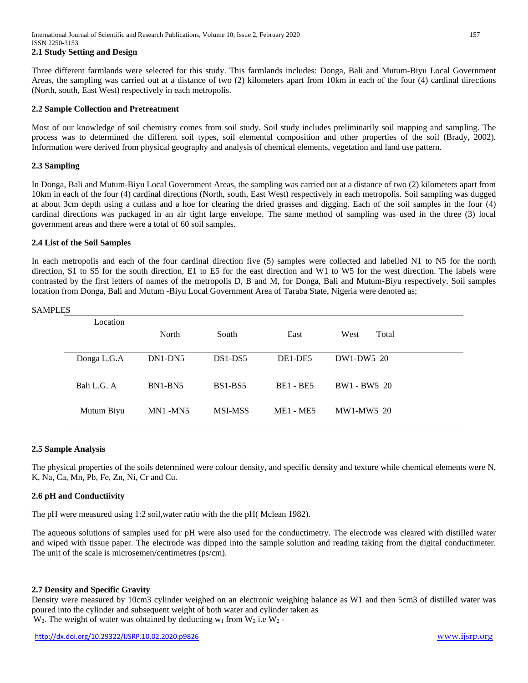Three different farmlands were selected for this study. This farmlands includes: Donga, Bali and Mutum-Biyu Local Government Areas, the sampling was carried out at a distance of two (2) kilometers apart from 10km in each of the four (4) cardinal directions (North, south, East West) respectively in each metropolis.

## **2.2 Sample Collection and Pretreatment**

Most of our knowledge of soil chemistry comes from soil study. Soil study includes preliminarily soil mapping and sampling. The process was to determined the different soil types, soil elemental composition and other properties of the soil (Brady, 2002). Information were derived from physical geography and analysis of chemical elements, vegetation and land use pattern.

## **2.3 Sampling**

In Donga, Bali and Mutum-Biyu Local Government Areas, the sampling was carried out at a distance of two (2) kilometers apart from 10km in each of the four (4) cardinal directions (North, south, East West) respectively in each metropolis. Soil sampling was dugged at about 3cm depth using a cutlass and a hoe for clearing the dried grasses and digging. Each of the soil samples in the four (4) cardinal directions was packaged in an air tight large envelope. The same method of sampling was used in the three (3) local government areas and there were a total of 60 soil samples.

#### **2.4 List of the Soil Samples**

In each metropolis and each of the four cardinal direction five (5) samples were collected and labelled N1 to N5 for the north direction, S1 to S5 for the south direction, E1 to E5 for the east direction and W1 to W5 for the west direction. The labels were contrasted by the first letters of names of the metropolis D, B and M, for Donga, Bali and Mutum-Biyu respectively. Soil samples location from Donga, Bali and Mutum -Biyu Local Government Area of Taraba State, Nigeria were denoted as;

| LS. |             |               |                |                  |               |  |
|-----|-------------|---------------|----------------|------------------|---------------|--|
|     | Location    |               |                |                  |               |  |
|     |             | North         | South          | East             | West<br>Total |  |
|     |             |               |                |                  |               |  |
|     | Donga L.G.A | $DN1$ - $DN5$ | $DS1-DS5$      | DE1-DE5          | DW1-DW5 20    |  |
|     |             |               |                |                  |               |  |
|     | Bali L.G. A | BN1-BN5       | <b>BS1-BS5</b> | <b>BE1 - BE5</b> | BW1 - BW5 20  |  |
|     |             |               |                |                  |               |  |
|     | Mutum Biyu  | $MN1 - MN5$   | <b>MSI-MSS</b> | <b>ME1 - ME5</b> | MW1-MW5 20    |  |
|     |             |               |                |                  |               |  |

#### SAMPLES

## **2.5 Sample Analysis**

The physical properties of the soils determined were colour density, and specific density and texture while chemical elements were N, K, Na, Ca, Mn, Pb, Fe, Zn, Ni, Cr and Cu.

## **2.6 pH and Conductiivity**

The pH were measured using 1:2 soil,water ratio with the the pH( Mclean 1982).

The aqueous solutions of samples used for pH were also used for the conductimetry. The electrode was cleared with distilled water and wiped with tissue paper. The electrode was dipped into the sample solution and reading taking from the digital conductimeter. The unit of the scale is microsemen/centimetres (ps/cm).

## **2.7 Density and Specific Gravity**

Density were measured by 10cm3 cylinder weighed on an electronic weighing balance as W1 and then 5cm3 of distilled water was poured into the cylinder and subsequent weight of both water and cylinder taken as  $W_2$ . The weight of water was obtained by deducting  $w_1$  from  $W_2$  i.e  $W_2$  -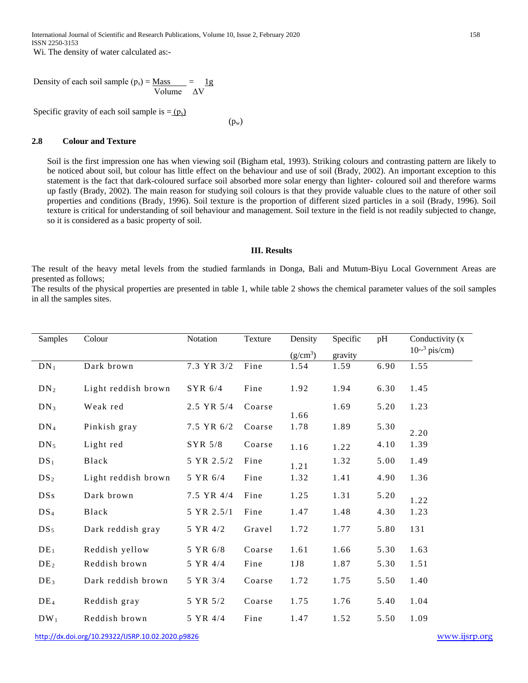International Journal of Scientific and Research Publications, Volume 10, Issue 2, February 2020 158 ISSN 2250-3153 Wi. The density of water calculated as:-

Density of each soil sample  $(p_s) = Mass = 1g$ Volume ΔV

Specific gravity of each soil sample is  $=$   $(p<sub>s</sub>)$ 

 $(p_w)$ 

## **2.8 Colour and Texture**

Soil is the first impression one has when viewing soil (Bigham etal, 1993). Striking colours and contrasting pattern are likely to be noticed about soil, but colour has little effect on the behaviour and use of soil (Brady, 2002). An important exception to this statement is the fact that dark-coloured surface soil absorbed more solar energy than lighter- coloured soil and therefore warms up fastly (Brady, 2002). The main reason for studying soil colours is that they provide valuable clues to the nature of other soil properties and conditions (Brady, 1996). Soil texture is the proportion of different sized particles in a soil (Brady, 1996). Soil texture is critical for understanding of soil behaviour and management. Soil texture in the field is not readily subjected to change, so it is considered as a basic property of soil.

#### **III. Results**

The result of the heavy metal levels from the studied farmlands in Donga, Bali and Mutum-Biyu Local Government Areas are presented as follows;

The results of the physical properties are presented in table 1, while table 2 shows the chemical parameter values of the soil samples in all the samples sites.

| Samples         | Colour              | Notation   | Texture | Density      | Specific | pH   | Conductivity (x |
|-----------------|---------------------|------------|---------|--------------|----------|------|-----------------|
|                 |                     |            |         | $(g/cm^3)$   | gravity  |      | $10~^3$ pis/cm) |
| $DN_1$          | Dark brown          | 7.3 YR 3/2 | Fine    | 1.54         | 1.59     | 6.90 | 1.55            |
| $DN_2$          | Light reddish brown | SYR 6/4    | Fine    | 1.92         | 1.94     | 6.30 | 1.45            |
| $DN_3$          | Weak red            | 2.5 YR 5/4 | Coarse  |              | 1.69     | 5.20 | 1.23            |
| $DN_4$          | Pinkish gray        | 7.5 YR 6/2 | Coarse  | 1.66<br>1.78 | 1.89     | 5.30 | 2.20            |
| $DN_5$          | Light red           | SYR 5/8    | Coarse  | 1.16         | 1.22     | 4.10 | 1.39            |
| DS <sub>1</sub> | Black               | 5 YR 2.5/2 | Fine    | 1.21         | 1.32     | 5.00 | 1.49            |
| DS <sub>2</sub> | Light reddish brown | 5 YR 6/4   | Fine    | 1.32         | 1.41     | 4.90 | 1.36            |
| DSs             | Dark brown          | 7.5 YR 4/4 | Fine    | 1.25         | 1.31     | 5.20 | 1.22            |
| DS <sub>4</sub> | Black               | 5 YR 2.5/1 | Fine    | 1.47         | 1.48     | 4.30 | 1.23            |
| DS <sub>5</sub> | Dark reddish gray   | 5 YR 4/2   | Gravel  | 1.72         | 1.77     | 5.80 | 131             |
| DE <sub>1</sub> | Reddish yellow      | 5 YR 6/8   | Coarse  | 1.61         | 1.66     | 5.30 | 1.63            |
| DE <sub>2</sub> | Reddish brown       | 5 YR 4/4   | Fine    | 1 J 8        | 1.87     | 5.30 | 1.51            |
| DE <sub>3</sub> | Dark reddish brown  | 5 YR 3/4   | Coarse  | 1.72         | 1.75     | 5.50 | 1.40            |
| DE <sub>4</sub> | Reddish gray        | 5 YR 5/2   | Coarse  | 1.75         | 1.76     | 5.40 | 1.04            |
| $DW_1$          | Reddish brown       | 5 YR 4/4   | Fine    | 1.47         | 1.52     | 5.50 | 1.09            |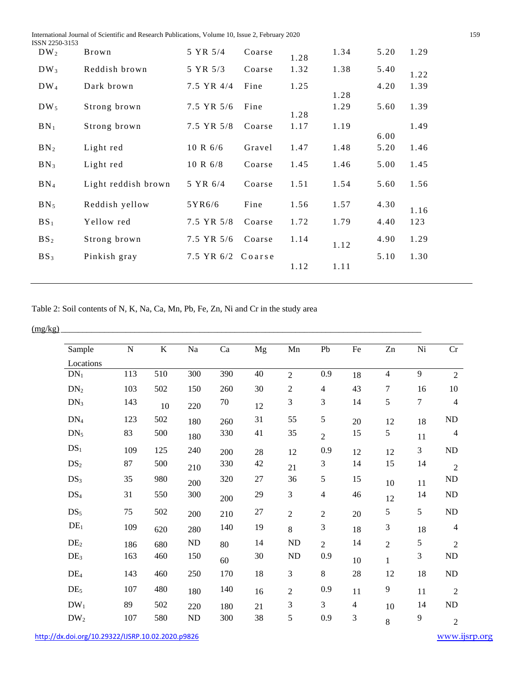| ISSN 2250-3153  | International Journal of Scientific and Research Publications, Volume 10, Issue 2, February 2020 |                   |        |      |      |      | 159  |
|-----------------|--------------------------------------------------------------------------------------------------|-------------------|--------|------|------|------|------|
| $DW_2$          | Brown                                                                                            | 5 YR 5/4          | Coarse | 1.28 | 1.34 | 5.20 | 1.29 |
| $DW_3$          | Reddish brown                                                                                    | 5 YR 5/3          | Coarse | 1.32 | 1.38 | 5.40 | 1.22 |
| $DW_4$          | Dark brown                                                                                       | 7.5 YR 4/4        | Fine   | 1.25 | 1.28 | 4.20 | 1.39 |
| $DW_5$          | Strong brown                                                                                     | 7.5 YR 5/6        | Fine   | 1.28 | 1.29 | 5.60 | 1.39 |
| BN <sub>1</sub> | Strong brown                                                                                     | 7.5 YR 5/8        | Coarse | 1.17 | 1.19 | 6.00 | 1.49 |
| BN <sub>2</sub> | Light red                                                                                        | 10 R 6/6          | Gravel | 1.47 | 1.48 | 5.20 | 1.46 |
| BN <sub>3</sub> | Light red                                                                                        | 10 R 6/8          | Coarse | 1.45 | 1.46 | 5.00 | 1.45 |
| BN <sub>4</sub> | Light reddish brown                                                                              | 5 YR 6/4          | Coarse | 1.51 | 1.54 | 5.60 | 1.56 |
| BN <sub>5</sub> | Reddish yellow                                                                                   | 5YR6/6            | Fine   | 1.56 | 1.57 | 4.30 | 1.16 |
| BS <sub>1</sub> | Yellow red                                                                                       | 7.5 YR 5/8        | Coarse | 1.72 | 1.79 | 4.40 | 123  |
| BS <sub>2</sub> | Strong brown                                                                                     | 7.5 YR 5/6        | Coarse | 1.14 | 1.12 | 4.90 | 1.29 |
| BS <sub>3</sub> | Pinkish gray                                                                                     | 7.5 YR 6/2 Coarse |        | 1.12 | 1.11 | 5.10 | 1.30 |

Table 2: Soil contents of N, K, Na, Ca, Mn, Pb, Fe, Zn, Ni and Cr in the study area

| Sample          | $\mathbf N$                   | ${\bf K}$         | Na         | Ca                                     | Mg                                   | Mn             | ${\rm Pb}$                               | $\rm Fe$                                | Zn                             | Ni                                                   | Cr                        |
|-----------------|-------------------------------|-------------------|------------|----------------------------------------|--------------------------------------|----------------|------------------------------------------|-----------------------------------------|--------------------------------|------------------------------------------------------|---------------------------|
|                 |                               |                   |            |                                        |                                      |                |                                          |                                         | $\overline{4}$                 |                                                      | $\overline{2}$            |
|                 |                               |                   |            |                                        |                                      |                |                                          |                                         |                                |                                                      | $10\,$                    |
| $DN_3$          | 143                           | $10\,$            | 220        | $70\,$                                 | 12                                   | $\mathfrak 3$  | 3                                        | 14                                      | 5                              | $\overline{7}$                                       | $\overline{4}$            |
| $DN_4$          | 123                           | 502               |            |                                        | 31                                   | 55             | $\mathfrak{S}$                           |                                         |                                |                                                      | $\rm ND$                  |
| $DN_5$          | 83                            | 500               |            | 330                                    | 41                                   | 35             |                                          | 15                                      | 5                              |                                                      | $\overline{4}$            |
| DS <sub>1</sub> | 109                           | 125               | 240        |                                        |                                      |                | 0.9                                      |                                         |                                | $\mathfrak{Z}$                                       | $\rm ND$                  |
| DS <sub>2</sub> | $87\,$                        | 500               |            | 330                                    | 42                                   |                | 3                                        | 14                                      | 15                             | 14                                                   | $\overline{2}$            |
| DS <sub>3</sub> | 35                            | 980               |            | 320                                    | $27\,$                               | 36             | 5                                        | 15                                      |                                |                                                      | ND                        |
| DS <sub>4</sub> | 31                            | 550               | 300        | 200                                    | 29                                   | $\mathfrak{Z}$ | 4                                        | 46                                      | 12                             | 14                                                   | ND                        |
| $DS_5$          | 75                            | 502               | 200        | 210                                    | $27\,$                               | $\sqrt{2}$     | $\sqrt{2}$                               | 20                                      | 5                              | 5                                                    | ND                        |
| DE <sub>1</sub> | 109                           | 620               | 280        | 140                                    | 19                                   | 8              | 3                                        | $18\,$                                  | 3                              | 18                                                   | $\overline{4}$            |
| DE <sub>2</sub> |                               | 680               | ND         |                                        | 14                                   | <b>ND</b>      | $\overline{2}$                           | 14                                      | $\overline{2}$                 | $\sqrt{5}$                                           | $\overline{2}$            |
| DE <sub>3</sub> | 163                           | 460               | 150        |                                        | 30                                   | ND             | 0.9                                      |                                         |                                | 3                                                    | ND                        |
| DE <sub>4</sub> | 143                           | 460               | 250        | 170                                    | 18                                   | $\mathfrak 3$  | $8\,$                                    | $28\,$                                  | 12                             | 18                                                   | ${\rm ND}$                |
| DE <sub>5</sub> | 107                           | 480               | 180        | 140                                    | 16                                   | $\sqrt{2}$     | 0.9                                      | 11                                      | 9                              | 11                                                   | $\overline{2}$            |
| $DW_1$          | 89                            | 502               | 220        | 180                                    | 21                                   | $\mathfrak 3$  | 3                                        | $\overline{4}$                          | $10\,$                         | 14                                                   | $\rm ND$                  |
| $DW_2$          | 107                           | 580               | ${\rm ND}$ | 300                                    | 38                                   | 5              | 0.9                                      | 3                                       | 8                              | 9                                                    | $\sqrt{2}$                |
|                 | Locations<br>$DN_1$<br>$DN_2$ | 113<br>103<br>186 | 510<br>502 | 300<br>150<br>180<br>180<br>210<br>200 | 390<br>260<br>260<br>200<br>80<br>60 | 40<br>30<br>28 | $\overline{2}$<br>$\sqrt{2}$<br>12<br>21 | 0.9<br>$\overline{4}$<br>$\overline{2}$ | 18<br>43<br>20<br>12<br>$10\,$ | $\overline{7}$<br>12<br>12<br>$10\,$<br>$\mathbf{1}$ | 9<br>16<br>18<br>11<br>11 |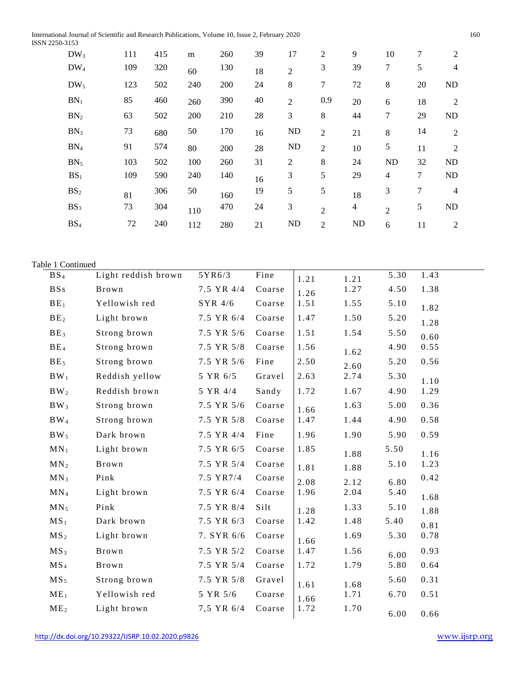International Journal of Scientific and Research Publications, Volume 10, Issue 2, February 2020 160 ISSN 2250-3153

| $DW_3$          | 111 | 415 | m   | 260 | 39 | 17             | $\overline{c}$ | 9              | 10             | 7      | $\overline{2}$ |
|-----------------|-----|-----|-----|-----|----|----------------|----------------|----------------|----------------|--------|----------------|
| $DW_4$          | 109 | 320 | 60  | 130 | 18 | $\mathfrak{2}$ | 3              | 39             | 7              | 5      | 4              |
| $DW_5$          | 123 | 502 | 240 | 200 | 24 | $\,8\,$        | 7              | 72             | 8              | 20     | ND             |
| BN <sub>1</sub> | 85  | 460 | 260 | 390 | 40 | $\overline{2}$ | 0.9            | 20             | 6              | 18     | $\overline{2}$ |
| BN <sub>2</sub> | 63  | 502 | 200 | 210 | 28 | 3              | $\,8\,$        | 44             | 7              | 29     | $\rm ND$       |
| BN <sub>3</sub> | 73  | 680 | 50  | 170 | 16 | ND             | $\overline{2}$ | 21             | 8              | 14     | $\overline{2}$ |
| BN <sub>4</sub> | 91  | 574 | 80  | 200 | 28 | ND             | $\overline{2}$ | 10             | 5              | 11     | $\overline{2}$ |
| BN <sub>5</sub> | 103 | 502 | 100 | 260 | 31 | $\overline{c}$ | $\,8\,$        | 24             | <b>ND</b>      | 32     | ND             |
| BS <sub>1</sub> | 109 | 590 | 240 | 140 | 16 | 3              | 5              | 29             | $\overline{4}$ | $\tau$ | ND             |
| BS <sub>2</sub> | 81  | 306 | 50  | 160 | 19 | 5              | 5              | 18             | 3              | 7      | $\overline{4}$ |
| BS <sub>3</sub> | 73  | 304 | 110 | 470 | 24 | 3              | $\overline{2}$ | $\overline{4}$ | $\overline{2}$ | 5      | ND             |
| BS <sub>4</sub> | 72  | 240 | 112 | 280 | 21 | <b>ND</b>      | $\overline{2}$ | <b>ND</b>      | 6              | 11     | $\overline{2}$ |

## Table 1 Continued

| abie i Continued |                     |            |                 |      |      |      |      |
|------------------|---------------------|------------|-----------------|------|------|------|------|
| BS <sub>4</sub>  | Light reddish brown | $5YR6/3$   | Fine            | 1.21 | 1.21 | 5.30 | 1.43 |
| BSs              | Brown               | 7.5 YR 4/4 | Coarse          | 1.26 | 1.27 | 4.50 | 1.38 |
| BE <sub>1</sub>  | Yellowish red       | SYR 4/6    | Coarse          | 1.51 | 1.55 | 5.10 | 1.82 |
| BE <sub>2</sub>  | Light brown         | 7.5 YR 6/4 | Coarse          | 1.47 | 1.50 | 5.20 | 1.28 |
| BE <sub>3</sub>  | Strong brown        | 7.5 YR 5/6 | Coarse          | 1.51 | 1.54 | 5.50 | 0.60 |
| BE <sub>4</sub>  | Strong brown        | 7.5 YR 5/8 | Coarse          | 1.56 | 1.62 | 4.90 | 0.55 |
| BE <sub>5</sub>  | Strong brown        | 7.5 YR 5/6 | Fine            | 2.50 | 2.60 | 5.20 | 0.56 |
| BW <sub>1</sub>  | Reddish yellow      | 5 YR 6/5   | Gravel          | 2.63 | 2.74 | 5.30 | 1.10 |
| BW <sub>2</sub>  | Reddish brown       | 5 YR 4/4   | Sandy           | 1.72 | 1.67 | 4.90 | 1.29 |
| $BW_3$           | Strong brown        | 7.5 YR 5/6 | Coarse          | 1.66 | 1.63 | 5.00 | 0.36 |
| $BW_4$           | Strong brown        | 7.5 YR 5/8 | Coarse          | 1.47 | 1.44 | 4.90 | 0.58 |
| $BW_5$           | Dark brown          | 7.5 YR 4/4 | Fine            | 1.96 | 1.90 | 5.90 | 0.59 |
| $MN_1$           | Light brown         | 7.5 YR 6/5 | Coarse          | 1.85 | 1.88 | 5.50 | 1.16 |
| $MN_2$           | Brown               | 7.5 YR 5/4 | Coarse          | 1.81 | 1.88 | 5.10 | 1.23 |
| $MN_3$           | Pink                | 7.5 YR7/4  | $\sqrt{C}oarse$ | 2.08 | 2.12 | 6.80 | 0.42 |
| $MN_4$           | Light brown         | 7.5 YR 6/4 | Coarse          | 1.96 | 2.04 | 5.40 | 1.68 |
| $MN_5$           | Pink                | 7.5 YR 8/4 | Silt            | 1.28 | 1.33 | 5.10 | 1.88 |
| $MS_1$           | Dark brown          | 7.5 YR 6/3 | Coarse          | 1.42 | 1.48 | 5.40 | 0.81 |
| MS <sub>2</sub>  | Light brown         | 7. SYR 6/6 | Coarse          | 1.66 | 1.69 | 5.30 | 0.78 |
| MS <sub>3</sub>  | Brown               | 7.5 YR 5/2 | Coarse          | 1.47 | 1.56 | 6.00 | 0.93 |
| MS <sub>4</sub>  | Brown               | 7.5 YR 5/4 | Coarse          | 1.72 | 1.79 | 5.80 | 0.64 |
| MS <sub>5</sub>  | Strong brown        | 7.5 YR 5/8 | Gravel          | 1.61 | 1.68 | 5.60 | 0.31 |
| ME <sub>1</sub>  | Yellowish red       | 5 YR 5/6   | Coarse          | 1.66 | 1.71 | 6.70 | 0.51 |
| ME <sub>2</sub>  | Light brown         | 7,5 YR 6/4 | Coarse          | 1.72 | 1.70 | 6.00 | 0.66 |
|                  |                     |            |                 |      |      |      |      |

<http://dx.doi.org/10.29322/IJSRP.10.02.2020.p9826> [www.ijsrp.org](http://ijsrp.org/)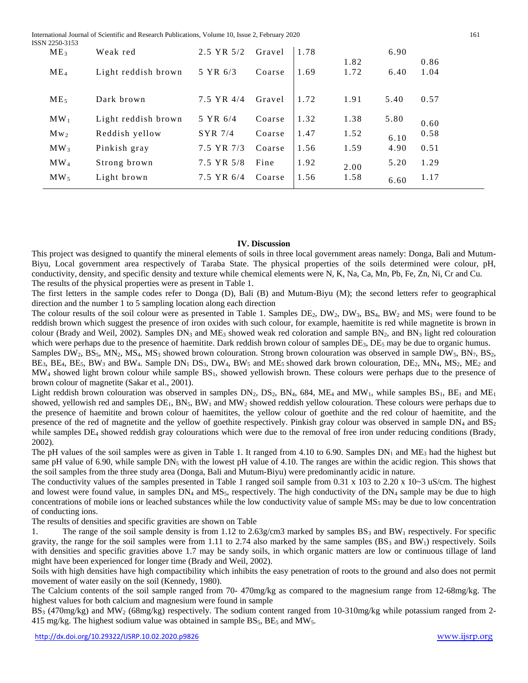International Journal of Scientific and Research Publications, Volume 10, Issue 2, February 2020 161

| ISSN 2250-3153  |                     |            |        |      |      |      |      |
|-----------------|---------------------|------------|--------|------|------|------|------|
| ME <sub>3</sub> | Weak red            | 2.5 YR 5/2 | Gravel | 1.78 |      | 6.90 |      |
|                 |                     |            |        |      | 1.82 |      | 0.86 |
| ME <sub>4</sub> | Light reddish brown | 5 YR 6/3   | Coarse | 1.69 | 1.72 | 6.40 | 1.04 |
|                 |                     |            |        |      |      |      |      |
| ME <sub>5</sub> | Dark brown          | 7.5 YR 4/4 | Gravel | 1.72 | 1.91 | 5.40 | 0.57 |
|                 |                     |            |        |      |      |      |      |
| MW <sub>1</sub> | Light reddish brown | 5 YR 6/4   | Coarse | 1.32 | 1.38 | 5.80 | 0.60 |
|                 |                     | SYR 7/4    |        | 1.47 |      |      |      |
| $Mw_2$          | Reddish yellow      |            | Coarse |      | 1.52 | 6.10 | 0.58 |
| MW <sub>3</sub> | Pinkish gray        | 7.5 YR 7/3 | Coarse | 1.56 | 1.59 | 4.90 | 0.51 |
| MW <sub>4</sub> | Strong brown        | 7.5 YR 5/8 | Fine   | 1.92 |      | 5.20 | 1.29 |
|                 |                     |            |        |      | 2.00 |      |      |
| MW <sub>5</sub> | Light brown         | 7.5 YR 6/4 | Coarse | 1.56 | 1.58 | 6.60 | 1.17 |
|                 |                     |            |        |      |      |      |      |

#### **IV. Discussion**

This project was designed to quantify the mineral elements of soils in three local government areas namely: Donga, Bali and Mutum-Biyu, Local government area respectively of Taraba State. The physical properties of the soils determined were colour, pH, conductivity, density, and specific density and texture while chemical elements were N, K, Na, Ca, Mn, Pb, Fe, Zn, Ni, Cr and Cu. The results of the physical properties were as present in Table 1.

The first letters in the sample codes refer to Donga (D), Bali (B) and Mutum-Biyu (M); the second letters refer to geographical direction and the number 1 to 5 sampling location along each direction

The colour results of the soil colour were as presented in Table 1. Samples  $DE_2$ ,  $DW_2$ ,  $DW_3$ ,  $BS_4$ ,  $BW_2$  and  $MS_1$  were found to be reddish brown which suggest the presence of iron oxides with such colour, for example, haemitite is red while magnetite is brown in colour (Brady and Weil, 2002). Samples  $DN_3$  and  $ME_3$  showed weak red coloration and sample  $BN_2$ , and  $BN_3$  light red colouration which were perhaps due to the presence of haemitite. Dark reddish brown colour of samples  $DE_3$ ,  $DE_5$  may be due to organic humus.

Samples DW<sub>2</sub>, BS<sub>5</sub>, MN<sub>2</sub>, MS<sub>4</sub>, MS<sub>3</sub> showed brown colouration. Strong brown colouration was observed in sample DW<sub>5</sub>, BN<sub>7</sub>, BS<sub>2</sub>,  $BE_3$ ,  $BE_4$ ,  $BE_5$ ,  $BW_3$  and  $BW_4$ . Sample  $DN_1 DS_3$ ,  $DW_4$ ,  $BW_5$  and  $ME_5$  showed dark brown colouration,  $DE_2$ ,  $MN_4$ ,  $MS_2$ ,  $ME_2$  and  $MW<sub>4</sub>$  showed light brown colour while sample  $BS<sub>1</sub>$ , showed yellowish brown. These colours were perhaps due to the presence of brown colour of magnetite (Sakar et al., 2001).

Light reddish brown colouration was observed in samples  $DN_2$ ,  $DS_2$ ,  $BN_4$ , 684,  $ME_4$  and  $MW_1$ , while samples  $BS_1$ ,  $BE_1$  and  $ME_1$ showed, yellowish red and samples  $DE_1$ ,  $BN_5$ ,  $BW_1$  and  $MW_2$  showed reddish yellow colouration. These colours were perhaps due to the presence of haemitite and brown colour of haemitites, the yellow colour of goethite and the red colour of haemitite, and the presence of the red of magnetite and the yellow of goethite respectively. Pinkish gray colour was observed in sample  $DN_4$  and  $BS_2$ while samples DE<sub>4</sub> showed reddish gray colourations which were due to the removal of free iron under reducing conditions (Brady, 2002).

The pH values of the soil samples were as given in Table 1. It ranged from 4.10 to 6.90. Samples  $DN_1$  and  $ME_3$  had the highest but same pH value of 6.90, while sample DN<sub>5</sub> with the lowest pH value of 4.10. The ranges are within the acidic region. This shows that the soil samples from the three study area (Donga, Bali and Mutum-Biyu) were predominantly acidic in nature.

The conductivity values of the samples presented in Table 1 ranged soil sample from 0.31 x 103 to 2.20 x 10~3 uS/cm. The highest and lowest were found value, in samples  $DN_4$  and  $MS_5$ , respectively. The high conductivity of the  $DN_4$  sample may be due to high concentrations of mobile ions or leached substances while the low conductivity value of sample  $MS_5$  may be due to low concentration of conducting ions.

The results of densities and specific gravities are shown on Table

1. The range of the soil sample density is from 1.12 to 2.63g/cm3 marked by samples  $BS_3$  and  $BW_1$  respectively. For specific gravity, the range for the soil samples were from 1.11 to 2.74 also marked by the same samples  $(BS<sub>3</sub>$  and  $BW<sub>1</sub>$ ) respectively. Soils with densities and specific gravities above 1.7 may be sandy soils, in which organic matters are low or continuous tillage of land might have been experienced for longer time (Brady and Weil, 2002).

Soils with high densities have high compactibility which inhibits the easy penetration of roots to the ground and also does not permit movement of water easily on the soil (Kennedy, 1980).

The Calcium contents of the soil sample ranged from 70- 470mg/kg as compared to the magnesium range from 12-68mg/kg. The highest values for both calcium and magnesium were found in sample

 $BS_3$  (470mg/kg) and MW<sub>2</sub> (68mg/kg) respectively. The sodium content ranged from 10-310mg/kg while potassium ranged from 2-415 mg/kg. The highest sodium value was obtained in sample  $BS_5$ ,  $BE_5$  and MW<sub>5</sub>.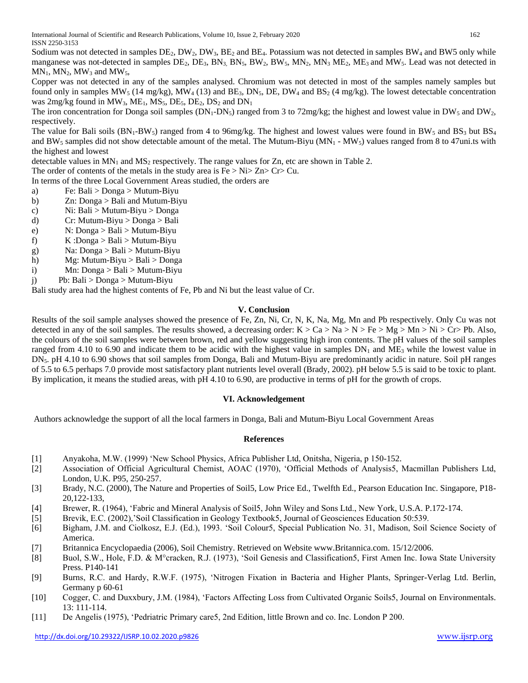International Journal of Scientific and Research Publications, Volume 10, Issue 2, February 2020 162 ISSN 2250-3153

Sodium was not detected in samples  $DE_2$ ,  $DW_2$ ,  $DW_3$ ,  $BE_2$  and  $BE_4$ . Potassium was not detected in samples  $BW_4$  and BW5 only while manganese was not-detected in samples  $DE_2$ ,  $DE_3$ ,  $BN_3$ ,  $BN_5$ ,  $BW_5$ ,  $BW_5$ ,  $MN_7$ ,  $MN_3$ ,  $ME_2$ ,  $ME_3$  and  $MW_5$ . Lead was not detected in  $MN_1$ ,  $MN_2$ ,  $MW_3$  and  $MW_5$ ,

Copper was not detected in any of the samples analysed. Chromium was not detected in most of the samples namely samples but found only in samples  $MW_5$  (14 mg/kg),  $MW_4$  (13) and  $BE_3$ ,  $DN_5$ ,  $DE$ ,  $DW_4$  and  $BS_2$  (4 mg/kg). The lowest detectable concentration was  $2mg/kg$  found in MW<sub>3</sub>, ME<sub>1</sub>, MS<sub>5</sub>, DE<sub>5</sub>, DE<sub>2</sub>, DS<sub>2</sub> and DN<sub>1</sub>

The iron concentration for Donga soil samples  $(DN_1-DN_5)$  ranged from 3 to 72mg/kg; the highest and lowest value in DW<sub>5</sub> and DW<sub>2</sub>, respectively.

The value for Bali soils  $(BN_1-BW_5)$  ranged from 4 to 96mg/kg. The highest and lowest values were found in BW<sub>5</sub> and BS<sub>3</sub> but BS<sub>4</sub> and BW<sub>5</sub> samples did not show detectable amount of the metal. The Mutum-Biyu ( $MN_1$  -  $MW_5$ ) values ranged from 8 to 47uni.ts with the highest and lowest

detectable values in  $MN_1$  and  $MS_2$  respectively. The range values for Zn, etc are shown in Table 2.

The order of contents of the metals in the study area is  $Fe > Ni > Zn > Cr > Cu$ .

In terms of the three Local Government Areas studied, the orders are

- a) Fe: Bali > Donga > Mutum-Biyu
- b) Zn: Donga > Bali and Mutum-Biyu
- c) Ni: Bali > Mutum-Biyu > Donga
- d) Cr: Mutum-Biyu > Donga > Bali
- e) N: Donga > Bali > Mutum-Biyu
- f)  $K : \text{Donga} > \text{Bali} > \text{Mutum-Bivu}$
- g) Na: Donga > Bali > Mutum-Biyu
- h) Mg: Mutum-Biyu > Bali > Donga
- i) Mn: Donga > Bali > Mutum-Biyu
- j) Pb: Bali > Donga > Mutum-Biyu

Bali study area had the highest contents of Fe, Pb and Ni but the least value of Cr.

## **V. Conclusion**

Results of the soil sample analyses showed the presence of Fe, Zn, Ni, Cr, N, K, Na, Mg, Mn and Pb respectively. Only Cu was not detected in any of the soil samples. The results showed, a decreasing order:  $K > Ca > Na > N > Fe > Mg > Mn > Ni > Cr > Pb$ . Also, the colours of the soil samples were between brown, red and yellow suggesting high iron contents. The pH values of the soil samples ranged from 4.10 to 6.90 and indicate them to be acidic with the highest value in samples  $DN_1$  and  $ME_3$  while the lowest value in DN5. pH 4.10 to 6.90 shows that soil samples from Donga, Bali and Mutum-Biyu are predominantly acidic in nature. Soil pH ranges of 5.5 to 6.5 perhaps 7.0 provide most satisfactory plant nutrients level overall (Brady, 2002). pH below 5.5 is said to be toxic to plant. By implication, it means the studied areas, with pH 4.10 to 6.90, are productive in terms of pH for the growth of crops.

## **VI. Acknowledgement**

Authors acknowledge the support of all the local farmers in Donga, Bali and Mutum-Biyu Local Government Areas

## **References**

- [1] Anyakoha, M.W. (1999) 'New School Physics, Africa Publisher Ltd, Onitsha, Nigeria, p 150-152.
- [2] Association of Official Agricultural Chemist, AOAC (1970), 'Official Methods of Analysis5, Macmillan Publishers Ltd, London, U.K. P95, 250-257.
- [3] Brady, N.C. (2000), The Nature and Properties of Soil5, Low Price Ed., Twelfth Ed., Pearson Education Inc. Singapore, P18- 20,122-133,
- [4] Brewer, R. (1964), 'Fabric and Mineral Analysis of Soil5, John Wiley and Sons Ltd., New York, U.S.A. P.172-174.
- [5] Brevik, E.C. (2002),'Soil Classification in Geology Textbook5, Journal of Geosciences Education 50:539.
- [6] Bigham, J.M. and Ciolkosz, E.J. (Ed.), 1993. 'Soil Colour5, Special Publication No. 31, Madison, Soil Science Society of America.
- [7] Britannica Encyclopaedia (2006), Soil Chemistry. Retrieved on Website www.Britannica.com. 15/12/2006.
- [8] Buol, S.W., Hole, F.D. & M°cracken, R.J. (1973), 'Soil Genesis and Classification5, First Amen Inc. Iowa State University Press. P140-141
- [9] Burns, R.C. and Hardy, R.W.F. (1975), 'Nitrogen Fixation in Bacteria and Higher Plants, Springer-Verlag Ltd. Berlin, Germany p 60-61
- [10] Cogger, C. and Duxxbury, J.M. (1984), 'Factors Affecting Loss from Cultivated Organic Soils5, Journal on Environmentals. 13: 111-114.
- [11] De Angelis (1975), 'Pedriatric Primary care5, 2nd Edition, little Brown and co. Inc. London P 200.